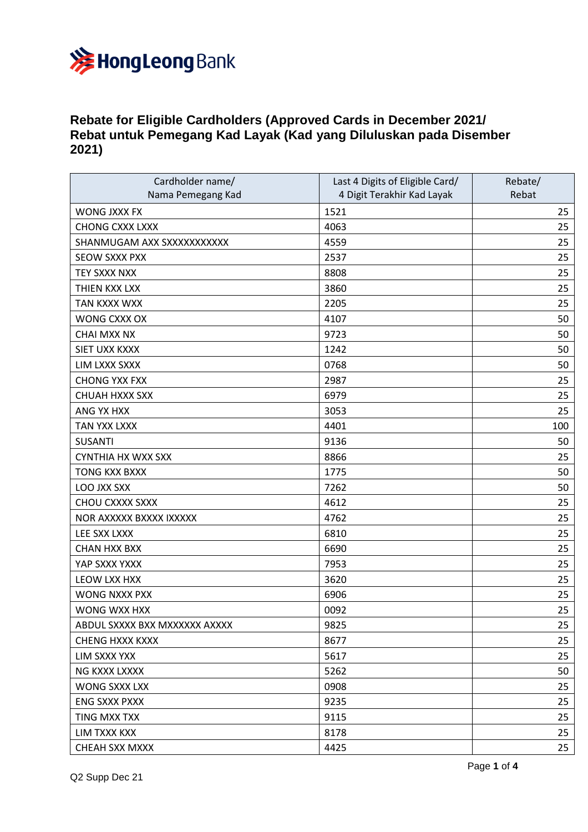

## **Rebate for Eligible Cardholders (Approved Cards in December 2021/ Rebat untuk Pemegang Kad Layak (Kad yang Diluluskan pada Disember 2021)**

| Cardholder name/              | Last 4 Digits of Eligible Card/ | Rebate/ |
|-------------------------------|---------------------------------|---------|
| Nama Pemegang Kad             | 4 Digit Terakhir Kad Layak      | Rebat   |
| WONG JXXX FX                  | 1521                            | 25      |
| <b>CHONG CXXX LXXX</b>        | 4063                            | 25      |
| SHANMUGAM AXX SXXXXXXXXXX     | 4559                            | 25      |
| <b>SEOW SXXX PXX</b>          | 2537                            | 25      |
| <b>TEY SXXX NXX</b>           | 8808                            | 25      |
| THIEN KXX LXX                 | 3860                            | 25      |
| TAN KXXX WXX                  | 2205                            | 25      |
| WONG CXXX OX                  | 4107                            | 50      |
| <b>CHAI MXX NX</b>            | 9723                            | 50      |
| SIET UXX KXXX                 | 1242                            | 50      |
| LIM LXXX SXXX                 | 0768                            | 50      |
| <b>CHONG YXX FXX</b>          | 2987                            | 25      |
| CHUAH HXXX SXX                | 6979                            | 25      |
| ANG YX HXX                    | 3053                            | 25      |
| TAN YXX LXXX                  | 4401                            | 100     |
| <b>SUSANTI</b>                | 9136                            | 50      |
| <b>CYNTHIA HX WXX SXX</b>     | 8866                            | 25      |
| <b>TONG KXX BXXX</b>          | 1775                            | 50      |
| LOO JXX SXX                   | 7262                            | 50      |
| CHOU CXXXX SXXX               | 4612                            | 25      |
| NOR AXXXXX BXXXX IXXXXX       | 4762                            | 25      |
| LEE SXX LXXX                  | 6810                            | 25      |
| <b>CHAN HXX BXX</b>           | 6690                            | 25      |
| YAP SXXX YXXX                 | 7953                            | 25      |
| LEOW LXX HXX                  | 3620                            | 25      |
| <b>WONG NXXX PXX</b>          | 6906                            | 25      |
| WONG WXX HXX                  | 0092                            | 25      |
| ABDUL SXXXX BXX MXXXXXX AXXXX | 9825                            | 25      |
| <b>CHENG HXXX KXXX</b>        | 8677                            | 25      |
| LIM SXXX YXX                  | 5617                            | 25      |
| NG KXXX LXXXX                 | 5262                            | 50      |
| WONG SXXX LXX                 | 0908                            | 25      |
| ENG SXXX PXXX                 | 9235                            | 25      |
| TING MXX TXX                  | 9115                            | 25      |
| LIM TXXX KXX                  | 8178                            | 25      |
| CHEAH SXX MXXX                | 4425                            | 25      |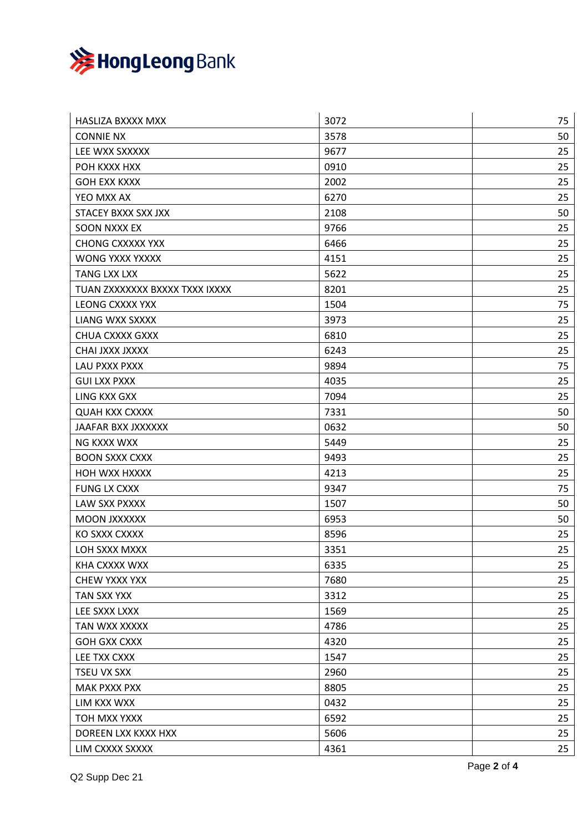

| HASLIZA BXXXX MXX              | 3072 | 75 |
|--------------------------------|------|----|
| <b>CONNIE NX</b>               | 3578 | 50 |
| LEE WXX SXXXXX                 | 9677 | 25 |
| POH KXXX HXX                   | 0910 | 25 |
| <b>GOH EXX KXXX</b>            | 2002 | 25 |
| YEO MXX AX                     | 6270 | 25 |
| STACEY BXXX SXX JXX            | 2108 | 50 |
| SOON NXXX EX                   | 9766 | 25 |
| CHONG CXXXXX YXX               | 6466 | 25 |
| WONG YXXX YXXXX                | 4151 | 25 |
| <b>TANG LXX LXX</b>            | 5622 | 25 |
| TUAN ZXXXXXXX BXXXX TXXX IXXXX | 8201 | 25 |
| LEONG CXXXX YXX                | 1504 | 75 |
| LIANG WXX SXXXX                | 3973 | 25 |
| CHUA CXXXX GXXX                | 6810 | 25 |
| CHAI JXXX JXXXX                | 6243 | 25 |
| LAU PXXX PXXX                  | 9894 | 75 |
| <b>GUI LXX PXXX</b>            | 4035 | 25 |
| LING KXX GXX                   | 7094 | 25 |
| <b>QUAH KXX CXXXX</b>          | 7331 | 50 |
| JAAFAR BXX JXXXXXX             | 0632 | 50 |
| NG KXXX WXX                    | 5449 | 25 |
| <b>BOON SXXX CXXX</b>          | 9493 | 25 |
| HOH WXX HXXXX                  | 4213 | 25 |
| FUNG LX CXXX                   | 9347 | 75 |
| LAW SXX PXXXX                  | 1507 | 50 |
| <b>MOON JXXXXXX</b>            | 6953 | 50 |
| KO SXXX CXXXX                  | 8596 | 25 |
| LOH SXXX MXXX                  | 3351 | 25 |
| KHA CXXXX WXX                  | 6335 | 25 |
| CHEW YXXX YXX                  | 7680 | 25 |
| <b>TAN SXX YXX</b>             | 3312 | 25 |
| LEE SXXX LXXX                  | 1569 | 25 |
| TAN WXX XXXXX                  | 4786 | 25 |
| <b>GOH GXX CXXX</b>            | 4320 | 25 |
| LEE TXX CXXX                   | 1547 | 25 |
| <b>TSEU VX SXX</b>             | 2960 | 25 |
| MAK PXXX PXX                   | 8805 | 25 |
| LIM KXX WXX                    | 0432 | 25 |
| TOH MXX YXXX                   | 6592 | 25 |
| DOREEN LXX KXXX HXX            | 5606 | 25 |
| LIM CXXXX SXXXX                | 4361 | 25 |
|                                |      |    |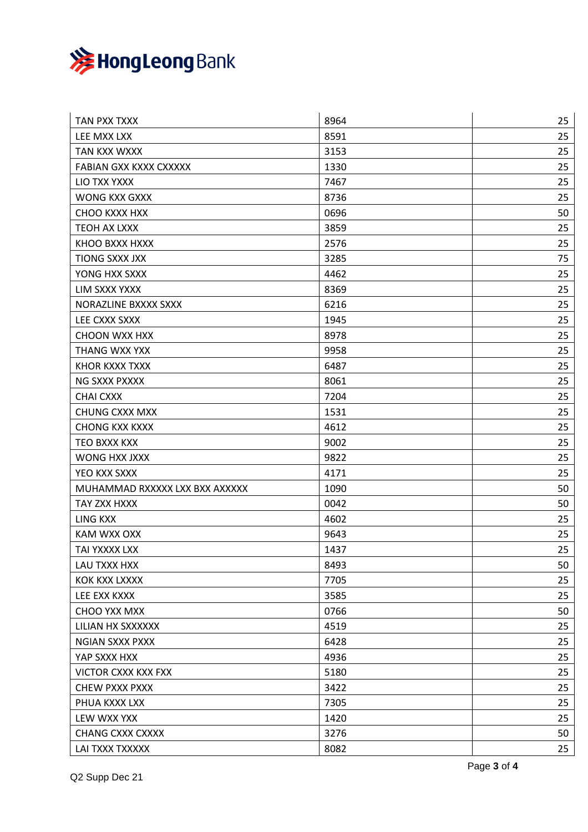

| <b>TAN PXX TXXX</b>            | 8964 | 25 |
|--------------------------------|------|----|
| LEE MXX LXX                    | 8591 | 25 |
| TAN KXX WXXX                   | 3153 | 25 |
| FABIAN GXX KXXX CXXXXX         | 1330 | 25 |
| LIO TXX YXXX                   | 7467 | 25 |
| WONG KXX GXXX                  | 8736 | 25 |
| CHOO KXXX HXX                  | 0696 | 50 |
| TEOH AX LXXX                   | 3859 | 25 |
| KHOO BXXX HXXX                 | 2576 | 25 |
| <b>TIONG SXXX JXX</b>          | 3285 | 75 |
| YONG HXX SXXX                  | 4462 | 25 |
| LIM SXXX YXXX                  | 8369 | 25 |
| NORAZLINE BXXXX SXXX           | 6216 | 25 |
| LEE CXXX SXXX                  | 1945 | 25 |
| <b>CHOON WXX HXX</b>           | 8978 | 25 |
| <b>THANG WXX YXX</b>           | 9958 | 25 |
| KHOR KXXX TXXX                 | 6487 | 25 |
| NG SXXX PXXXX                  | 8061 | 25 |
| <b>CHAI CXXX</b>               | 7204 | 25 |
| <b>CHUNG CXXX MXX</b>          | 1531 | 25 |
| <b>CHONG KXX KXXX</b>          | 4612 | 25 |
| TEO BXXX KXX                   | 9002 | 25 |
| WONG HXX JXXX                  | 9822 | 25 |
| YEO KXX SXXX                   | 4171 | 25 |
| MUHAMMAD RXXXXX LXX BXX AXXXXX | 1090 | 50 |
| TAY ZXX HXXX                   | 0042 | 50 |
| <b>LING KXX</b>                | 4602 | 25 |
| KAM WXX OXX                    | 9643 | 25 |
| TAI YXXXX LXX                  | 1437 | 25 |
| LAU TXXX HXX                   | 8493 | 50 |
| KOK KXX LXXXX                  | 7705 | 25 |
| LEE EXX KXXX                   | 3585 | 25 |
| CHOO YXX MXX                   | 0766 | 50 |
| LILIAN HX SXXXXXX              | 4519 | 25 |
| NGIAN SXXX PXXX                | 6428 | 25 |
| YAP SXXX HXX                   | 4936 | 25 |
| VICTOR CXXX KXX FXX            | 5180 | 25 |
| <b>CHEW PXXX PXXX</b>          | 3422 | 25 |
| PHUA KXXX LXX                  | 7305 | 25 |
| LEW WXX YXX                    | 1420 | 25 |
| CHANG CXXX CXXXX               | 3276 | 50 |
| LAI TXXX TXXXXX                | 8082 | 25 |